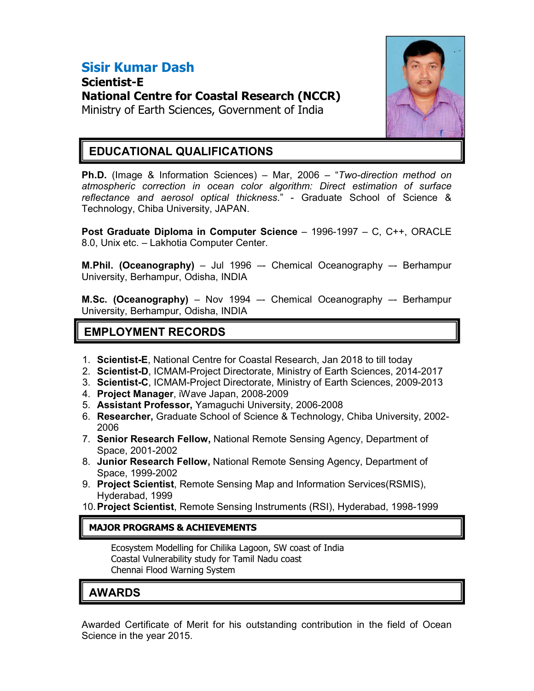# Sisir Kumar Dash

Scientist-E National Centre for Coastal Research (NCCR) Ministry of Earth Sciences, Government of India



### EDUCATIONAL QUALIFICATIONS

Ph.D. (Image & Information Sciences) – Mar, 2006 – "Two-direction method on atmospheric correction in ocean color algorithm: Direct estimation of surface reflectance and aerosol optical thickness." - Graduate School of Science & Technology, Chiba University, JAPAN.

Post Graduate Diploma in Computer Science – 1996-1997 – C, C++, ORACLE 8.0, Unix etc. – Lakhotia Computer Center.

**M.Phil. (Oceanography)** – Jul 1996 – Chemical Oceanography – Berhampur University, Berhampur, Odisha, INDIA

M.Sc. (Oceanography) - Nov 1994 -- Chemical Oceanography -- Berhampur University, Berhampur, Odisha, INDIA

# EMPLOYMENT RECORDS

- 1. Scientist-E, National Centre for Coastal Research, Jan 2018 to till today
- 2. Scientist-D, ICMAM-Project Directorate, Ministry of Earth Sciences, 2014-2017
- 3. Scientist-C, ICMAM-Project Directorate, Ministry of Earth Sciences, 2009-2013
- 4. Project Manager, iWave Japan, 2008-2009
- 5. Assistant Professor, Yamaguchi University, 2006-2008
- 6. Researcher, Graduate School of Science & Technology, Chiba University, 2002- 2006
- 7. Senior Research Fellow, National Remote Sensing Agency, Department of Space, 2001-2002
- 8. Junior Research Fellow, National Remote Sensing Agency, Department of Space, 1999-2002
- 9. Project Scientist, Remote Sensing Map and Information Services(RSMIS), Hyderabad, 1999
- 10. Project Scientist, Remote Sensing Instruments (RSI), Hyderabad, 1998-1999

#### MAJOR PROGRAMS & ACHIEVEMENTS

Ecosystem Modelling for Chilika Lagoon, SW coast of India Coastal Vulnerability study for Tamil Nadu coast Chennai Flood Warning System

# AWARDS

Awarded Certificate of Merit for his outstanding contribution in the field of Ocean Science in the year 2015.